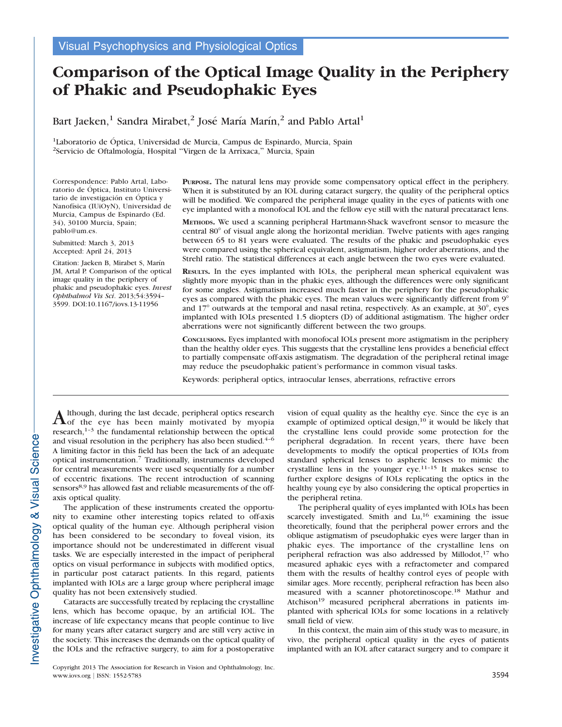# Comparison of the Optical Image Quality in the Periphery of Phakic and Pseudophakic Eyes

Bart Jaeken,<sup>1</sup> Sandra Mirabet,<sup>2</sup> José María Marín,<sup>2</sup> and Pablo Artal<sup>1</sup>

<sup>1</sup>Laboratorio de Óptica, Universidad de Murcia, Campus de Espinardo, Murcia, Spain <sup>2</sup>Servicio de Oftalmología, Hospital "Virgen de la Arrixaca," Murcia, Spain

Correspondence: Pablo Artal, Laboratorio de Óptica, Instituto Universitario de investigación en Óptica y Nanofísica (IUiOyN), Universidad de Murcia, Campus de Espinardo (Ed. 34), 30100 Murcia, Spain; pablo@um.es.

Submitted: March 3, 2013 Accepted: April 24, 2013

Citation: Jaeken B, Mirabet S, Marín JM, Artal P. Comparison of the optical image quality in the periphery of phakic and pseudophakic eyes. Invest Ophthalmol Vis Sci. 2013;54:3594– 3599. DOI:10.1167/iovs.13-11956

PURPOSE. The natural lens may provide some compensatory optical effect in the periphery. When it is substituted by an IOL during cataract surgery, the quality of the peripheral optics will be modified. We compared the peripheral image quality in the eyes of patients with one eye implanted with a monofocal IOL and the fellow eye still with the natural precataract lens.

METHODS. We used a scanning peripheral Hartmann-Shack wavefront sensor to measure the central 80° of visual angle along the horizontal meridian. Twelve patients with ages ranging between 65 to 81 years were evaluated. The results of the phakic and pseudophakic eyes were compared using the spherical equivalent, astigmatism, higher order aberrations, and the Strehl ratio. The statistical differences at each angle between the two eyes were evaluated.

RESULTS. In the eyes implanted with IOLs, the peripheral mean spherical equivalent was slightly more myopic than in the phakic eyes, although the differences were only significant for some angles. Astigmatism increased much faster in the periphery for the pseudophakic eyes as compared with the phakic eyes. The mean values were significantly different from  $9^\circ$ and  $17^{\circ}$  outwards at the temporal and nasal retina, respectively. As an example, at  $30^{\circ}$ , eyes implanted with IOLs presented 1.5 diopters (D) of additional astigmatism. The higher order aberrations were not significantly different between the two groups.

CONCLUSIONS. Eyes implanted with monofocal IOLs present more astigmatism in the periphery than the healthy older eyes. This suggests that the crystalline lens provides a beneficial effect to partially compensate off-axis astigmatism. The degradation of the peripheral retinal image may reduce the pseudophakic patient's performance in common visual tasks.

Keywords: peripheral optics, intraocular lenses, aberrations, refractive errors

Although, during the last decade, peripheral optics research of the eye has been mainly motivated by myopia research,<sup>1-3</sup> the fundamental relationship between the optical and visual resolution in the periphery has also been studied. $4-6$ A limiting factor in this field has been the lack of an adequate optical instrumentation.<sup>7</sup> Traditionally, instruments developed for central measurements were used sequentially for a number of eccentric fixations. The recent introduction of scanning sensors<sup>8,9</sup> has allowed fast and reliable measurements of the offaxis optical quality.

The application of these instruments created the opportunity to examine other interesting topics related to off-axis optical quality of the human eye. Although peripheral vision has been considered to be secondary to foveal vision, its importance should not be underestimated in different visual tasks. We are especially interested in the impact of peripheral optics on visual performance in subjects with modified optics, in particular post cataract patients. In this regard, patients implanted with IOLs are a large group where peripheral image quality has not been extensively studied.

Cataracts are successfully treated by replacing the crystalline lens, which has become opaque, by an artificial IOL. The increase of life expectancy means that people continue to live for many years after cataract surgery and are still very active in the society. This increases the demands on the optical quality of the IOLs and the refractive surgery, to aim for a postoperative

Copyright 2013 The Association for Research in Vision and Ophthalmology, Inc. www.iovs.org | ISSN: 1552-5783 3594

vision of equal quality as the healthy eye. Since the eye is an example of optimized optical design, $10$  it would be likely that the crystalline lens could provide some protection for the peripheral degradation. In recent years, there have been developments to modify the optical properties of IOLs from standard spherical lenses to aspheric lenses to mimic the crystalline lens in the younger eye.11–15 It makes sense to further explore designs of IOLs replicating the optics in the healthy young eye by also considering the optical properties in the peripheral retina.

The peripheral quality of eyes implanted with IOLs has been scarcely investigated. Smith and  $Lu<sub>1</sub><sup>16</sup>$  examining the issue theoretically, found that the peripheral power errors and the oblique astigmatism of pseudophakic eyes were larger than in phakic eyes. The importance of the crystalline lens on peripheral refraction was also addressed by Millodot,<sup>17</sup> who measured aphakic eyes with a refractometer and compared them with the results of healthy control eyes of people with similar ages. More recently, peripheral refraction has been also measured with a scanner photoretinoscope.<sup>18</sup> Mathur and Atchison<sup>19</sup> measured peripheral aberrations in patients implanted with spherical IOLs for some locations in a relatively small field of view.

In this context, the main aim of this study was to measure, in vivo, the peripheral optical quality in the eyes of patients implanted with an IOL after cataract surgery and to compare it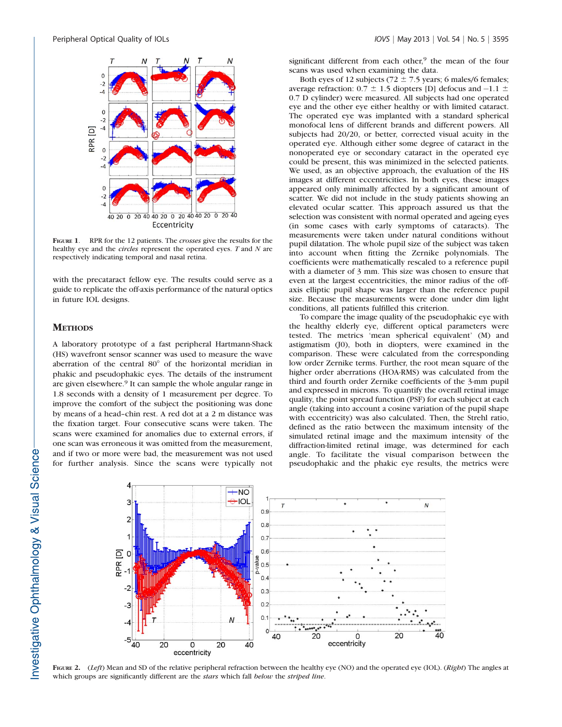

FIGURE 1. RPR for the 12 patients. The *crosses* give the results for the healthy eye and the *circles* represent the operated eyes. T and N are respectively indicating temporal and nasal retina.

with the precataract fellow eye. The results could serve as a guide to replicate the off-axis performance of the natural optics in future IOL designs.

## **METHODS**

A laboratory prototype of a fast peripheral Hartmann-Shack (HS) wavefront sensor scanner was used to measure the wave aberration of the central  $80^\circ$  of the horizontal meridian in phakic and pseudophakic eyes. The details of the instrument are given elsewhere.<sup>9</sup> It can sample the whole angular range in 1.8 seconds with a density of 1 measurement per degree. To improve the comfort of the subject the positioning was done by means of a head–chin rest. A red dot at a 2 m distance was the fixation target. Four consecutive scans were taken. The scans were examined for anomalies due to external errors, if one scan was erroneous it was omitted from the measurement, and if two or more were bad, the measurement was not used for further analysis. Since the scans were typically not

significant different from each other,<sup>9</sup> the mean of the four scans was used when examining the data.

Both eyes of 12 subjects (72  $\pm$  7.5 years; 6 males/6 females; average refraction:  $0.7 \pm 1.5$  diopters [D] defocus and  $-1.1 \pm 1.5$ 0.7 D cylinder) were measured. All subjects had one operated eye and the other eye either healthy or with limited cataract. The operated eye was implanted with a standard spherical monofocal lens of different brands and different powers. All subjects had 20/20, or better, corrected visual acuity in the operated eye. Although either some degree of cataract in the nonoperated eye or secondary cataract in the operated eye could be present, this was minimized in the selected patients. We used, as an objective approach, the evaluation of the HS images at different eccentricities. In both eyes, these images appeared only minimally affected by a significant amount of scatter. We did not include in the study patients showing an elevated ocular scatter. This approach assured us that the selection was consistent with normal operated and ageing eyes (in some cases with early symptoms of cataracts). The measurements were taken under natural conditions without pupil dilatation. The whole pupil size of the subject was taken into account when fitting the Zernike polynomials. The coefficients were mathematically rescaled to a reference pupil with a diameter of 3 mm. This size was chosen to ensure that even at the largest eccentricities, the minor radius of the offaxis elliptic pupil shape was larger than the reference pupil size. Because the measurements were done under dim light conditions, all patients fulfilled this criterion.

To compare the image quality of the pseudophakic eye with the healthy elderly eye, different optical parameters were tested. The metrics 'mean spherical equivalent' (M) and astigmatism (J0), both in diopters, were examined in the comparison. These were calculated from the corresponding low order Zernike terms. Further, the root mean square of the higher order aberrations (HOA-RMS) was calculated from the third and fourth order Zernike coefficients of the 3-mm pupil and expressed in microns. To quantify the overall retinal image quality, the point spread function (PSF) for each subject at each angle (taking into account a cosine variation of the pupil shape with eccentricity) was also calculated. Then, the Strehl ratio, defined as the ratio between the maximum intensity of the simulated retinal image and the maximum intensity of the diffraction-limited retinal image, was determined for each angle. To facilitate the visual comparison between the pseudophakic and the phakic eye results, the metrics were



FIGURE 2. (Left) Mean and SD of the relative peripheral refraction between the healthy eye (NO) and the operated eye (IOL). (Right) The angles at which groups are significantly different are the stars which fall below the striped line.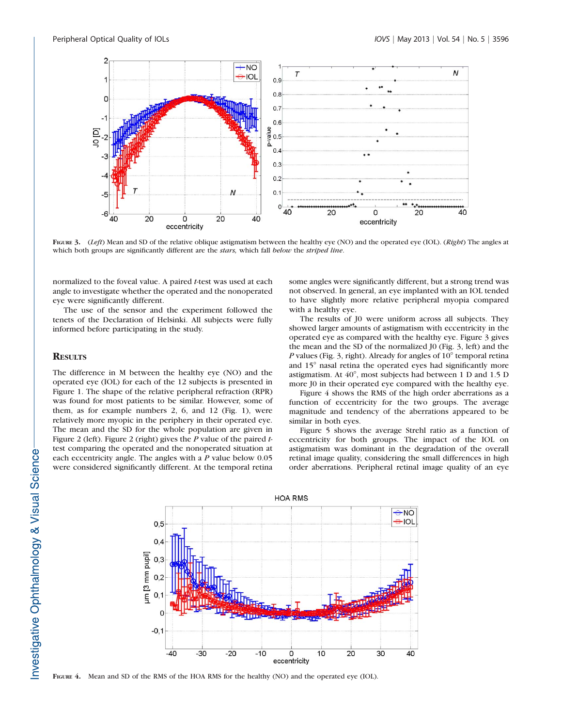

FIGURE 3. (Left) Mean and SD of the relative oblique astigmatism between the healthy eye (NO) and the operated eye (IOL). (Right) The angles at which both groups are significantly different are the stars, which fall below the striped line.

normalized to the foveal value. A paired t-test was used at each angle to investigate whether the operated and the nonoperated eye were significantly different.

The use of the sensor and the experiment followed the tenets of the Declaration of Helsinki. All subjects were fully informed before participating in the study.

#### **RESULTS**

The difference in M between the healthy eye (NO) and the operated eye (IOL) for each of the 12 subjects is presented in Figure 1. The shape of the relative peripheral refraction (RPR) was found for most patients to be similar. However, some of them, as for example numbers 2, 6, and 12 (Fig. 1), were relatively more myopic in the periphery in their operated eye. The mean and the SD for the whole population are given in Figure 2 (left). Figure 2 (right) gives the  $P$  value of the paired  $t$ test comparing the operated and the nonoperated situation at each eccentricity angle. The angles with a P value below 0.05 were considered significantly different. At the temporal retina

some angles were significantly different, but a strong trend was not observed. In general, an eye implanted with an IOL tended to have slightly more relative peripheral myopia compared with a healthy eye.

The results of J0 were uniform across all subjects. They showed larger amounts of astigmatism with eccentricity in the operated eye as compared with the healthy eye. Figure 3 gives the mean and the SD of the normalized J0 (Fig. 3, left) and the P values (Fig. 3, right). Already for angles of  $10^{\circ}$  temporal retina and 15<sup>°</sup> nasal retina the operated eyes had significantly more astigmatism. At  $40^{\circ}$ , most subjects had between 1 D and 1.5 D more J0 in their operated eye compared with the healthy eye.

Figure 4 shows the RMS of the high order aberrations as a function of eccentricity for the two groups. The average magnitude and tendency of the aberrations appeared to be similar in both eyes.

Figure 5 shows the average Strehl ratio as a function of eccentricity for both groups. The impact of the IOL on astigmatism was dominant in the degradation of the overall retinal image quality, considering the small differences in high order aberrations. Peripheral retinal image quality of an eye



FIGURE 4. Mean and SD of the RMS of the HOA RMS for the healthy (NO) and the operated eye (IOL).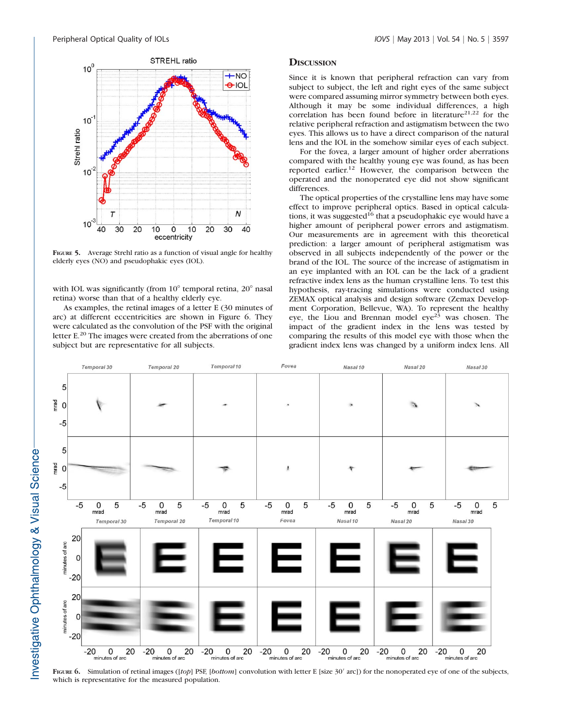$10<sup>0</sup>$ 

 $10^{-7}$ 





FIGURE 5. Average Strehl ratio as a function of visual angle for healthy elderly eyes (NO) and pseudophakic eyes (IOL).

with IOL was significantly (from  $10^{\circ}$  temporal retina,  $20^{\circ}$  nasal retina) worse than that of a healthy elderly eye.

As examples, the retinal images of a letter E (30 minutes of arc) at different eccentricities are shown in Figure 6. They were calculated as the convolution of the PSF with the original letter E.<sup>20</sup> The images were created from the aberrations of one subject but are representative for all subjects.

#### **DISCUSSION**

Since it is known that peripheral refraction can vary from subject to subject, the left and right eyes of the same subject were compared assuming mirror symmetry between both eyes. Although it may be some individual differences, a high correlation has been found before in literature<sup>21,22</sup> for the relative peripheral refraction and astigmatism between the two eyes. This allows us to have a direct comparison of the natural lens and the IOL in the somehow similar eyes of each subject.

For the fovea, a larger amount of higher order aberrations compared with the healthy young eye was found, as has been reported earlier.12 However, the comparison between the operated and the nonoperated eye did not show significant differences.

The optical properties of the crystalline lens may have some effect to improve peripheral optics. Based in optical calculations, it was suggested<sup>16</sup> that a pseudophakic eye would have a higher amount of peripheral power errors and astigmatism. Our measurements are in agreement with this theoretical prediction: a larger amount of peripheral astigmatism was observed in all subjects independently of the power or the brand of the IOL. The source of the increase of astigmatism in an eye implanted with an IOL can be the lack of a gradient refractive index lens as the human crystalline lens. To test this hypothesis, ray-tracing simulations were conducted using ZEMAX optical analysis and design software (Zemax Development Corporation, Bellevue, WA). To represent the healthy eye, the Liou and Brennan model  $eye^{23}$  was chosen. The impact of the gradient index in the lens was tested by comparing the results of this model eye with those when the gradient index lens was changed by a uniform index lens. All



FIGURE 6. Simulation of retinal images ([top] PSF, [bottom] convolution with letter E [size 30' arc]) for the nonoperated eye of one of the subjects, which is representative for the measured population.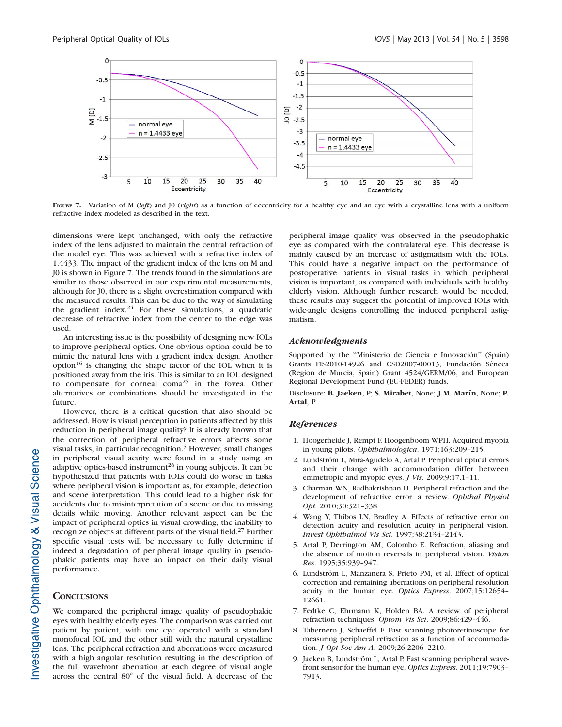

FIGURE 7. Variation of M (left) and J0 (right) as a function of eccentricity for a healthy eye and an eye with a crystalline lens with a uniform refractive index modeled as described in the text.

dimensions were kept unchanged, with only the refractive index of the lens adjusted to maintain the central refraction of the model eye. This was achieved with a refractive index of 1.4433. The impact of the gradient index of the lens on M and J0 is shown in Figure 7. The trends found in the simulations are similar to those observed in our experimental measurements, although for J0, there is a slight overestimation compared with the measured results. This can be due to the way of simulating the gradient index.<sup>24</sup> For these simulations, a quadratic decrease of refractive index from the center to the edge was used.

An interesting issue is the possibility of designing new IOLs to improve peripheral optics. One obvious option could be to mimic the natural lens with a gradient index design. Another option<sup>16</sup> is changing the shape factor of the IOL when it is positioned away from the iris. This is similar to an IOL designed to compensate for corneal coma<sup>25</sup> in the fovea. Other alternatives or combinations should be investigated in the future.

However, there is a critical question that also should be addressed. How is visual perception in patients affected by this reduction in peripheral image quality? It is already known that the correction of peripheral refractive errors affects some visual tasks, in particular recognition.<sup>5</sup> However, small changes in peripheral visual acuity were found in a study using an adaptive optics-based instrument<sup>26</sup> in young subjects. It can be hypothesized that patients with IOLs could do worse in tasks where peripheral vision is important as, for example, detection and scene interpretation. This could lead to a higher risk for accidents due to misinterpretation of a scene or due to missing details while moving. Another relevant aspect can be the impact of peripheral optics in visual crowding, the inability to recognize objects at different parts of the visual field.<sup>27</sup> Further specific visual tests will be necessary to fully determine if indeed a degradation of peripheral image quality in pseudophakic patients may have an impact on their daily visual performance.

## **CONCLUSIONS**

We compared the peripheral image quality of pseudophakic eyes with healthy elderly eyes. The comparison was carried out patient by patient, with one eye operated with a standard monofocal IOL and the other still with the natural crystalline lens. The peripheral refraction and aberrations were measured with a high angular resolution resulting in the description of the full wavefront aberration at each degree of visual angle across the central  $80^\circ$  of the visual field. A decrease of the

peripheral image quality was observed in the pseudophakic eye as compared with the contralateral eye. This decrease is mainly caused by an increase of astigmatism with the IOLs. This could have a negative impact on the performance of postoperative patients in visual tasks in which peripheral vision is important, as compared with individuals with healthy elderly vision. Although further research would be needed, these results may suggest the potential of improved IOLs with wide-angle designs controlling the induced peripheral astigmatism.

#### Acknowledgments

Supported by the "Ministerio de Ciencia e Innovación" (Spain) Grants FIS2010-14926 and CSD2007-00013, Fundación Séneca (Region de Murcia, Spain) Grant 4524/GERM/06, and European Regional Development Fund (EU-FEDER) funds.

Disclosure: B. Jaeken, P; S. Mirabet, None; J.M. Marín, None; P. Artal, P

## **References**

- 1. Hoogerheide J, Rempt F, Hoogenboom WPH. Acquired myopia in young pilots. Ophthalmologica. 1971;163:209–215.
- 2. Lundström L, Mira-Agudelo A, Artal P. Peripheral optical errors and their change with accommodation differ between emmetropic and myopic eyes. *J Vis.* 2009;9:17.1-11.
- 3. Charman WN, Radhakrishnan H. Peripheral refraction and the development of refractive error: a review. Ophthal Physiol Opt. 2010;30:321–338.
- 4. Wang Y, Thibos LN, Bradley A. Effects of refractive error on detection acuity and resolution acuity in peripheral vision. Invest Ophthalmol Vis Sci. 1997;38:2134–2143.
- 5. Artal P, Derrington AM, Colombo E. Refraction, aliasing and the absence of motion reversals in peripheral vision. Vision Res. 1995;35:939–947.
- 6. Lundström L, Manzanera S, Prieto PM, et al. Effect of optical correction and remaining aberrations on peripheral resolution acuity in the human eye. Optics Express. 2007;15:12654-12661.
- 7. Fedtke C, Ehrmann K, Holden BA. A review of peripheral refraction techniques. Optom Vis Sci. 2009;86:429–446.
- 8. Tabernero J, Schaeffel F. Fast scanning photoretinoscope for measuring peripheral refraction as a function of accommodation. J Opt Soc Am A. 2009;26:2206–2210.
- 9. Jaeken B, Lundström L, Artal P. Fast scanning peripheral wavefront sensor for the human eye. Optics Express. 2011;19:7903– 7913.